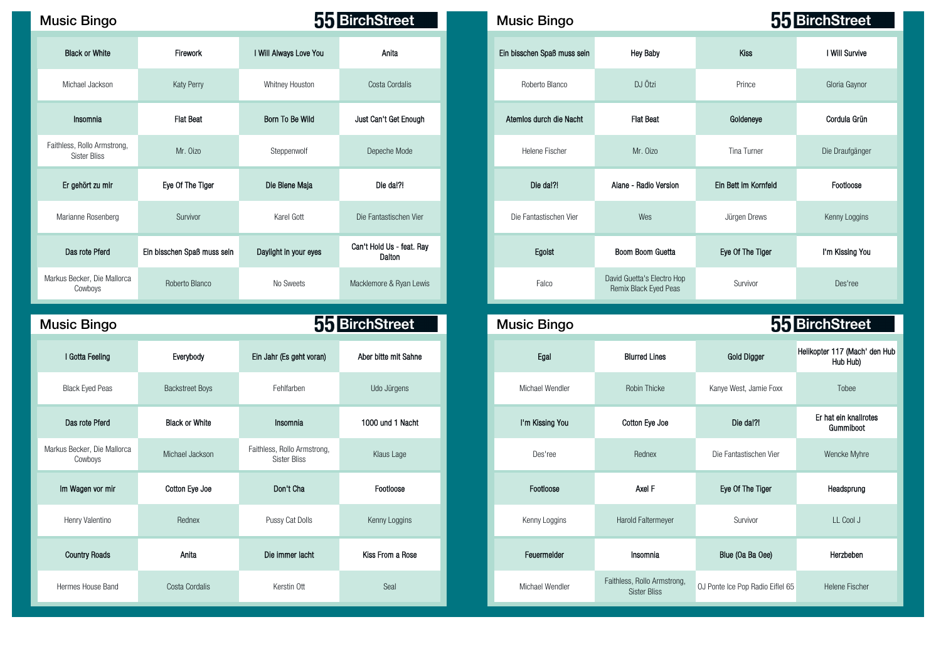#### Music Bingo **Music Bingo Music Bingo And All And Accord Bingo** BirchStreet

| <b>Black or White</b>                              | Firework                    | I Will Always Love You | Anita                               |
|----------------------------------------------------|-----------------------------|------------------------|-------------------------------------|
| Michael Jackson                                    | Katy Perry                  | Whitney Houston        | Costa Cordalis                      |
| Insomnia                                           | <b>Flat Beat</b>            | Born To Be Wild        | Just Can't Get Enough               |
| Faithless, Rollo Armstrong,<br><b>Sister Bliss</b> | Mr. Oizo                    | Steppenwolf            | Depeche Mode                        |
| Er gehört zu mir                                   | Eye Of The Tiger            | Die Biene Maja         | Die da!?!                           |
| Marianne Rosenberg                                 | Survivor                    | Karel Gott             | Die Fantastischen Vier              |
| Das rote Pferd                                     | Ein bisschen Spaß muss sein | Daylight in your eyes  | Can't Hold Us - feat. Ray<br>Dalton |
| Markus Becker, Die Mallorca<br>Cowboys             | Roberto Blanco              | No Sweets              | Macklemore & Ryan Lewis             |

# Markus Becker, Die Mallorca ecker, Die Mallorca Michael Jackson Faithless, Rollo Armstrong, Cowboys Component Michael Jackson Component Component Component Component Component Component Component Component Component Component Component Component Comp

| Henry Valentino      | Rednex         | Pussy Cat Dolls | Kenny Loggins    | Kenny Loggins   | <b>Harold Faltermeyer</b>                          | Survivor                         | LL Cool J           |
|----------------------|----------------|-----------------|------------------|-----------------|----------------------------------------------------|----------------------------------|---------------------|
| <b>Country Roads</b> | Anita          | Die immer lacht | Kiss From a Rose | Feuermelder     | Insomnia                                           | Blue (Oa Ba Oee)                 | Herzbeben           |
| Hermes House Band    | Costa Cordalis | Kerstin Ott     | Seal             | Michael Wendler | Faithless, Rollo Armstrong,<br><b>Sister Bliss</b> | OJ Ponte Ice Pop Radio Eiflel 65 | <b>Helene Fisch</b> |

| ic Bingo                              |                             |                        | 55 BirchStreet                      | <b>Music Bingo</b>          |                                                     |                      | 55 BirchStreet  |
|---------------------------------------|-----------------------------|------------------------|-------------------------------------|-----------------------------|-----------------------------------------------------|----------------------|-----------------|
| <b>Black or White</b>                 | Firework                    | I Will Always Love You | Anita                               | Ein bisschen Spaß muss sein | <b>Hey Baby</b>                                     | <b>Kiss</b>          | I Will Survive  |
| Aichael Jackson                       | <b>Katy Perry</b>           | Whitney Houston        | Costa Cordalis                      | Roberto Blanco              | DJ Ötzi                                             | Prince               | Gloria Gaynor   |
| Insomnia                              | <b>Flat Beat</b>            | Born To Be Wild        | Just Can't Get Enough               | Atemios durch die Nacht     | <b>Flat Beat</b>                                    | Goldeneye            | Cordula Grün    |
| ess, Rollo Armstrong,<br>Sister Bliss | Mr. Oizo                    | Steppenwolf            | Depeche Mode                        | Helene Fischer              | Mr. Oizo                                            | Tina Turner          | Die Draufgänger |
| r gehört zu mir                       | Eye Of The Tiger            | Die Biene Maja         | Die da!?!                           | Die da!?!                   | Alane - Radio Version                               | Ein Bett im Kornfeld | Footloose       |
| rianne Rosenberg                      | Survivor                    | Karel Gott             | Die Fantastischen Vier              | Die Fantastischen Vier      | Wes                                                 | Jürgen Drews         | Kenny Loggins   |
| Das rote Pferd                        | Ein bisschen Spaß muss sein | Daylight in your eyes  | Can't Hold Us - feat. Ray<br>Dalton | Egoist                      | Boom Boom Guetta                                    | Eye Of The Tiger     | I'm Kissing You |
| Becker, Die Mallorca<br>Cowboys       | Roberto Blanco              | No Sweets              | Macklemore & Ryan Lewis             | Falco                       | David Guetta's Electro Hop<br>Remix Black Eyed Peas | Survivor             | Des'ree         |

# Music Bingo **Music Bingo Reserves 55 BirchStreet** Music Bingo 55 BirchStreet 80 54 51 4 47 21 66 71 I Gotta Feeling Everybody Ein Jahr (Es geht voran) Aber bitte mit Sahne Egal Blurred Lines Gold Digger Helikopter 117 (Mach' den Hub Hub Hub) Black Eyed Peas Backstreet Boys Fehlfarben Udo Jürgens Michael Wendler Robin Thicke Kanye West, Jamie Foxx Tobee 37 19 92 2 88 32 42 53 Das rote Pferd Black or White Insomnia 1000 und 1 Nacht I'm Kissing You Cotton Eye Joe Die da!?! Er hat ein knallrotes Gummiboot s, nond annual only a Rednex Die Fantastischen Vier Wencke Myhre<br>Sister Bliss Contract Mencke Myhre 89 32 44 59 59 13 55 70 Im Wagen vor mir Cotton Eye Joe Don't Cha Footloose Footloose Axel F Eye Of The Tiger Headsprung Faithless, Rollo Armstrong, <br>Sister Bliss OJ Ponte Ice Pop Radio Eiflel 65 Helene Fischer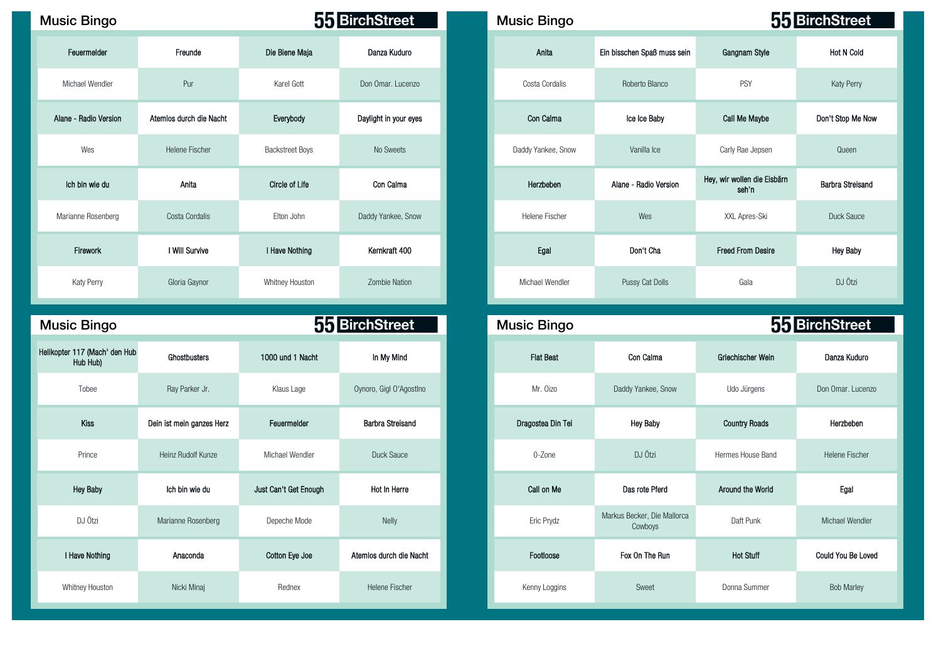## Music Bingo **Music Bingo Music Bingo Music Bingo Music Bingo Music Bingo Music Bingo**

| Feuermelder           | Freunde                 | Die Biene Maja         | Danza Kuduro          |
|-----------------------|-------------------------|------------------------|-----------------------|
| Michael Wendler       | Pur                     | Karel Gott             | Don Omar. Lucenzo     |
| Alane - Radio Version | Atemios durch die Nacht | Everybody              | Daylight in your eyes |
| Wes                   | Helene Fischer          | <b>Backstreet Boys</b> | No Sweets             |
| Ich bin wie du        | Anita                   | <b>Circle of Life</b>  | Con Calma             |
| Marianne Rosenberg    | Costa Cordalis          | Elton John             | Daddy Yankee, Snow    |
| Firework              | I Will Survive          | I Have Nothing         | Kernkraft 400         |
| Katy Perry            | Gloria Gaynor           | Whitney Houston        | Zombie Nation         |

| <b>Music Bingo</b>                        |                           |                       | 55 BirchStreet          | <b>Music Bingo</b> |                                        |                      | 55 BirchStree       |
|-------------------------------------------|---------------------------|-----------------------|-------------------------|--------------------|----------------------------------------|----------------------|---------------------|
| Helikopter 117 (Mach' den Hub<br>Hub Hub) | Ghostbusters              | 1000 und 1 Nacht      | In My Mind              | <b>Flat Beat</b>   | Con Calma                              | Griechischer Wein    | Danza Kudu          |
| Tobee                                     | Ray Parker Jr.            | Klaus Lage            | Oynoro, Gigl O'AgostIno | Mr. Oizo           | Daddy Yankee, Snow                     | Udo Jürgens          | Don Omar. Luc       |
| Kiss                                      | Dein ist mein ganzes Herz | Feuermelder           | <b>Barbra Streisand</b> | Dragostea Din Tei  | <b>Hey Baby</b>                        | <b>Country Roads</b> | Herzbeben           |
| Prince                                    | Heinz Rudolf Kunze        | Michael Wendler       | Duck Sauce              | 0-Zone             | DJ Ötzi                                | Hermes House Band    | <b>Helene Fisch</b> |
| <b>Hey Baby</b>                           | Ich bin wie du            | Just Can't Get Enough | Hot In Herre            | Call on Me         | Das rote Pferd                         | Around the World     | Egal                |
| DJ Ötzi                                   | Marianne Rosenberg        | Depeche Mode          | <b>Nelly</b>            | Eric Prydz         | Markus Becker, Die Mallorca<br>Cowboys | Daft Punk            | Michael Wend        |
| I Have Nothing                            | Anaconda                  | Cotton Eye Joe        | Atemios durch die Nacht | Footloose          | Fox On The Run                         | <b>Hot Stuff</b>     | Could You Be L      |
| Whitney Houston                           | Nicki Minaj               | Rednex                | Helene Fischer          | Kenny Loggins      | Sweet                                  | Donna Summer         | <b>Bob Marley</b>   |

| <b>Bingo</b>  |                         |                        | 55 BirchStreet        | <b>Music Bingo</b> |                             |                                      | 55 BirchStreet          |
|---------------|-------------------------|------------------------|-----------------------|--------------------|-----------------------------|--------------------------------------|-------------------------|
| euermelder    | Freunde                 | Die Biene Maja         | Danza Kuduro          | Anita              | Ein bisschen Spaß muss sein | Gangnam Style                        | <b>Hot N Cold</b>       |
| ael Wendler   | Pur                     | Karel Gott             | Don Omar. Lucenzo     | Costa Cordalis     | Roberto Blanco              | PSY                                  | Katy Perry              |
| Radio Version | Atemios durch die Nacht | Everybody              | Daylight in your eyes | Con Calma          | Ice Ice Baby                | Call Me Maybe                        | Don't Stop Me Now       |
| Wes           | Helene Fischer          | <b>Backstreet Boys</b> | No Sweets             | Daddy Yankee, Snow | Vanilla Ice                 | Carly Rae Jepsen                     | Queen                   |
| bin wie du    | Anita                   | Circle of Life         | Con Calma             | Herzbeben          | Alane - Radio Version       | Hey, wir wollen die Eisbärn<br>seh'n | <b>Barbra Streisand</b> |
| nne Rosenberg | Costa Cordalis          | Elton John             | Daddy Yankee, Snow    | Helene Fischer     | Wes                         | XXL Apres-Ski                        | Duck Sauce              |
| Firework      | I Will Survive          | I Have Nothing         | Kernkraft 400         | Egal               | Don't Cha                   | <b>Freed From Desire</b>             | <b>Hey Baby</b>         |
| aty Perry     | Gloria Gaynor           | Whitney Houston        | <b>Zombie Nation</b>  | Michael Wendler    | Pussy Cat Dolls             | Gala                                 | DJ Ötzi                 |

| ic Bingo                          |                           |                       | 55 BirchStreet          | <b>Music Bingo</b> |                                        |                      | 55 BirchStreet     |
|-----------------------------------|---------------------------|-----------------------|-------------------------|--------------------|----------------------------------------|----------------------|--------------------|
| er 117 (Mach' den Hub<br>Hub Hub) | Ghostbusters              | 1000 und 1 Nacht      | In My Mind              | <b>Flat Beat</b>   | Con Calma                              | Griechischer Wein    | Danza Kuduro       |
| Tobee                             | Ray Parker Jr.            | Klaus Lage            | Oynoro, Gigl O'Agostino | Mr. Oizo           | Daddy Yankee, Snow                     | Udo Jürgens          | Don Omar, Lucenzo  |
| Kiss                              | Dein ist mein ganzes Herz | Feuermelder           | Barbra Streisand        | Dragostea Din Tei  | <b>Hey Baby</b>                        | <b>Country Roads</b> | Herzbeben          |
| Prince                            | Heinz Rudolf Kunze        | Michael Wendler       | Duck Sauce              | 0-Zone             | DJ Ötzi                                | Hermes House Band    | Helene Fischer     |
| <b>Hey Baby</b>                   | Ich bin wie du            | Just Can't Get Enough | Hot In Herre            | Call on Me         | Das rote Pferd                         | Around the World     | Egal               |
| DJ Ötzi                           | Marianne Rosenberg        | Depeche Mode          | Nelly                   | Eric Prydz         | Markus Becker, Die Mallorca<br>Cowboys | Daft Punk            | Michael Wendler    |
| <b>Have Nothing</b>               | Anaconda                  | Cotton Eye Joe        | Atemios durch die Nacht | Footloose          | Fox On The Run                         | <b>Hot Stuff</b>     | Could You Be Loved |
| Vhitney Houston                   | Nicki Minaj               | Rednex                | Helene Fischer          | Kenny Loggins      | Sweet                                  | Donna Summer         | <b>Bob Marley</b>  |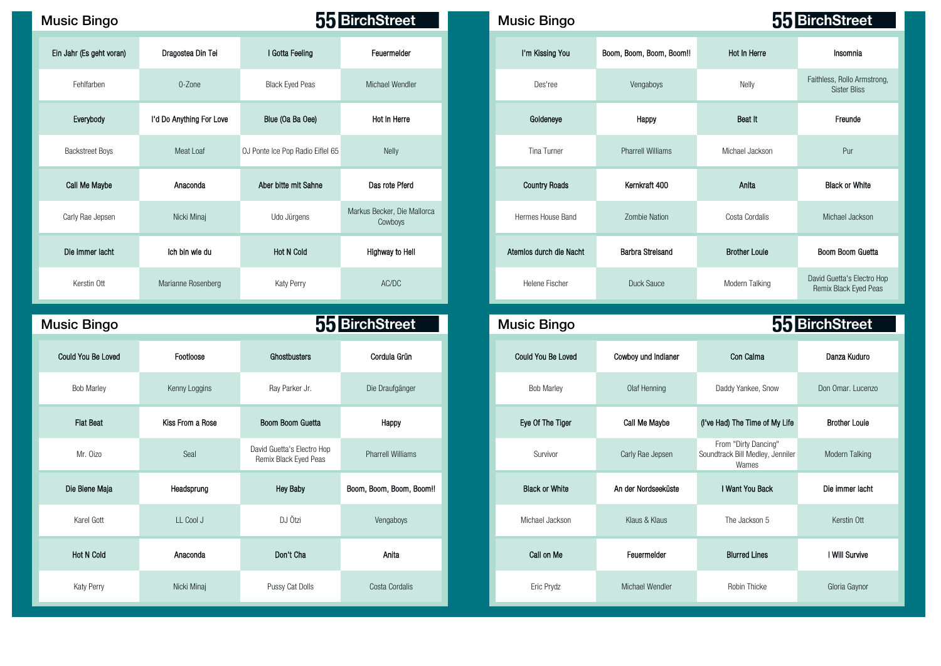| <b>Music Bingo</b>        |                          |                                                     | 55 BirchStreet                         | <b>Music Bingo</b>        |                          |                                                                   | 55 BirchStreet                                                                         |
|---------------------------|--------------------------|-----------------------------------------------------|----------------------------------------|---------------------------|--------------------------|-------------------------------------------------------------------|----------------------------------------------------------------------------------------|
| Ein Jahr (Es geht voran)  | Dragostea Din Tei        | I Gotta Feeling                                     | Feuermelder                            | I'm Kissing You           | Boom, Boom, Boom, Boom!! | <b>Hot In Herre</b>                                               | Insomnia                                                                               |
| Fehlfarben                | 0-Zone                   | <b>Black Eyed Peas</b>                              | Michael Wendler                        | Des'ree                   | Vengaboys                | Nelly                                                             | Faithless, Rollo Armst<br><b>Sister Bliss</b>                                          |
| Everybody                 | I'd Do Anything For Love | Blue (Oa Ba Oee)                                    | Hot In Herre                           | Goldeneye                 | Happy                    | Beat It                                                           | Freunde                                                                                |
| <b>Backstreet Boys</b>    | Meat Loaf                | OJ Ponte Ice Pop Radio Eiflel 65                    | Nelly                                  | Tina Turner               | <b>Pharrell Williams</b> | Michael Jackson                                                   | Pur                                                                                    |
| Call Me Maybe             | Anaconda                 | Aber bitte mit Sahne                                | Das rote Pferd                         | <b>Country Roads</b>      | Kernkraft 400            | Anita                                                             | <b>Black or White</b>                                                                  |
| Carly Rae Jepsen          | Nicki Minaj              | Udo Jürgens                                         | Markus Becker, Die Mallorca<br>Cowboys | Hermes House Band         | <b>Zombie Nation</b>     | Costa Cordalis                                                    | Michael Jacksor                                                                        |
| Die immer lacht           | Ich bin wie du           | <b>Hot N Cold</b>                                   | Highway to Hell                        | Atemios durch die Nacht   | <b>Barbra Streisand</b>  | <b>Brother Louie</b>                                              | Boom Boom Guet                                                                         |
| Kerstin Ott               | Marianne Rosenberg       | Katy Perry                                          | AC/DC                                  | Helene Fischer            | Duck Sauce               | Modern Talking                                                    | David Guetta's Electro<br>Remix Black Eyed P                                           |
|                           |                          |                                                     |                                        |                           |                          |                                                                   |                                                                                        |
| <b>Music Bingo</b>        |                          |                                                     | 55 BirchStreet                         | <b>Music Bingo</b>        |                          |                                                                   |                                                                                        |
| <b>Could You Be Loved</b> | Footloose                | Ghostbusters                                        | Cordula Grün                           | <b>Could You Be Loved</b> | Cowboy und Indianer      | Con Calma                                                         | Danza Kuduro                                                                           |
| <b>Bob Marley</b>         | Kenny Loggins            | Ray Parker Jr.                                      | Die Draufgänger                        | <b>Bob Marley</b>         | Olaf Henning             | Daddy Yankee, Snow                                                |                                                                                        |
| <b>Flat Beat</b>          | Kiss From a Rose         | Boom Boom Guetta                                    | Happy                                  | Eye Of The Tiger          | Call Me Maybe            | (I've Had) The Time of My Life                                    | <b>Brother Louie</b>                                                                   |
| Mr. Oizo                  | Seal                     | David Guetta's Electro Hop<br>Remix Black Eyed Peas | <b>Pharrell Williams</b>               | Survivor                  | Carly Rae Jepsen         | From "Dirty Dancing"<br>Soundtrack Bill Medley, Jenniler<br>Wames |                                                                                        |
| Die Biene Maja            | Headsprung               | <b>Hey Baby</b>                                     | Boom, Boom, Boom, Boom!!               | <b>Black or White</b>     | An der Nordseeküste      | I Want You Back                                                   |                                                                                        |
| Karel Gott                | LL Cool J                | DJ Ötzi                                             | Vengaboys                              | Michael Jackson           | Klaus & Klaus            | The Jackson 5                                                     | 55 BirchStreet<br>Don Omar. Lucen:<br>Modern Talking<br>Die immer lacht<br>Kerstin Ott |
| <b>Hot N Cold</b>         | Anaconda                 | Don't Cha                                           | Anita                                  | Call on Me                | Feuermelder              | <b>Blurred Lines</b>                                              | I Will Survive                                                                         |

| sic Bingo              |                          |                                  | 55 BirchStreet                         |
|------------------------|--------------------------|----------------------------------|----------------------------------------|
| Jahr (Es geht voran)   | Dragostea Din Tei        | I Gotta Feeling                  | Feuermelder                            |
| Fehlfarben             | 0-Zone                   | <b>Black Eyed Peas</b>           | Michael Wendler                        |
| Everybody              | I'd Do Anything For Love | Blue (Oa Ba Oee)                 | Hot In Herre                           |
| <b>Backstreet Boys</b> | Meat Loaf                | OJ Ponte Ice Pop Radio Eiflel 65 | Nelly                                  |
| Call Me Maybe          | Anaconda                 | Aber bitte mit Sahne             | Das rote Pferd                         |
| Carly Rae Jepsen       | Nicki Minaj              | Udo Jürgens                      | Markus Becker, Die Mallorca<br>Cowboys |
| Die immer lacht        | Ich bin wie du           | <b>Hot N Cold</b>                | Highway to Hell                        |
| Kerstin Ott            | Marianne Rosenberg       | Katy Perry                       | AC/DC                                  |
| sic Bingo              |                          |                                  | 55 BirchStreet                         |
| ould You Be Loved      | Footloose                | Ghostbusters                     | Cordula Grün                           |
| <b>Bob Marley</b>      | Kenny Loggins            | Ray Parker Jr.                   | Die Draufgänger                        |

| <b>Could You Be Loved</b> | Cowboy und Indianer | Con Calma                                                         | Danza Kuduro         |
|---------------------------|---------------------|-------------------------------------------------------------------|----------------------|
| <b>Bob Marley</b>         | Olaf Henning        | Daddy Yankee, Snow                                                | Don Omar, Lucenzo    |
| Eye Of The Tiger          | Call Me Maybe       | (I've Had) The Time of My Life                                    | <b>Brother Louie</b> |
| Survivor                  | Carly Rae Jepsen    | From "Dirty Dancing"<br>Soundtrack Bill Medley, Jenniler<br>Wames | Modern Talking       |
| <b>Black or White</b>     | An der Nordseeküste | I Want You Back                                                   | Die immer lacht      |
| Michael Jackson           | Klaus & Klaus       | The Jackson 5                                                     | Kerstin Ott          |
| Call on Me                | Feuermelder         | <b>Blurred Lines</b>                                              | I Will Survive       |
| Eric Prydz                | Michael Wendler     | Robin Thicke                                                      | Gloria Gaynor        |